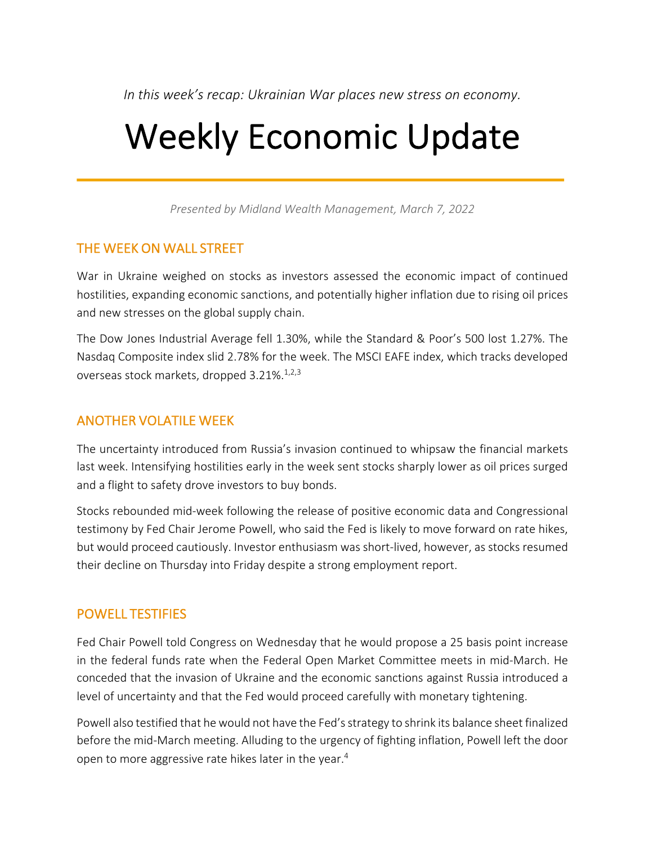*In this week's recap: Ukrainian War places new stress on economy.*

# Weekly Economic Update

*Presented by Midland Wealth Management, March 7, 2022*

### THE WEEK ON WALL STREET

War in Ukraine weighed on stocks as investors assessed the economic impact of continued hostilities, expanding economic sanctions, and potentially higher inflation due to rising oil prices and new stresses on the global supply chain.

The Dow Jones Industrial Average fell 1.30%, while the Standard & Poor's 500 lost 1.27%. The Nasdaq Composite index slid 2.78% for the week. The MSCI EAFE index, which tracks developed overseas stock markets, dropped 3.21%.<sup>1,2,3</sup>

## ANOTHER VOLATILE WEEK

The uncertainty introduced from Russia's invasion continued to whipsaw the financial markets last week. Intensifying hostilities early in the week sent stocks sharply lower as oil prices surged and a flight to safety drove investors to buy bonds.

Stocks rebounded mid-week following the release of positive economic data and Congressional testimony by Fed Chair Jerome Powell, who said the Fed is likely to move forward on rate hikes, but would proceed cautiously. Investor enthusiasm was short-lived, however, as stocks resumed their decline on Thursday into Friday despite a strong employment report.

### POWELL TESTIFIES

Fed Chair Powell told Congress on Wednesday that he would propose a 25 basis point increase in the federal funds rate when the Federal Open Market Committee meets in mid-March. He conceded that the invasion of Ukraine and the economic sanctions against Russia introduced a level of uncertainty and that the Fed would proceed carefully with monetary tightening.

Powell also testified that he would not have the Fed's strategy to shrink its balance sheet finalized before the mid-March meeting. Alluding to the urgency of fighting inflation, Powell left the door open to more aggressive rate hikes later in the year.<sup>4</sup>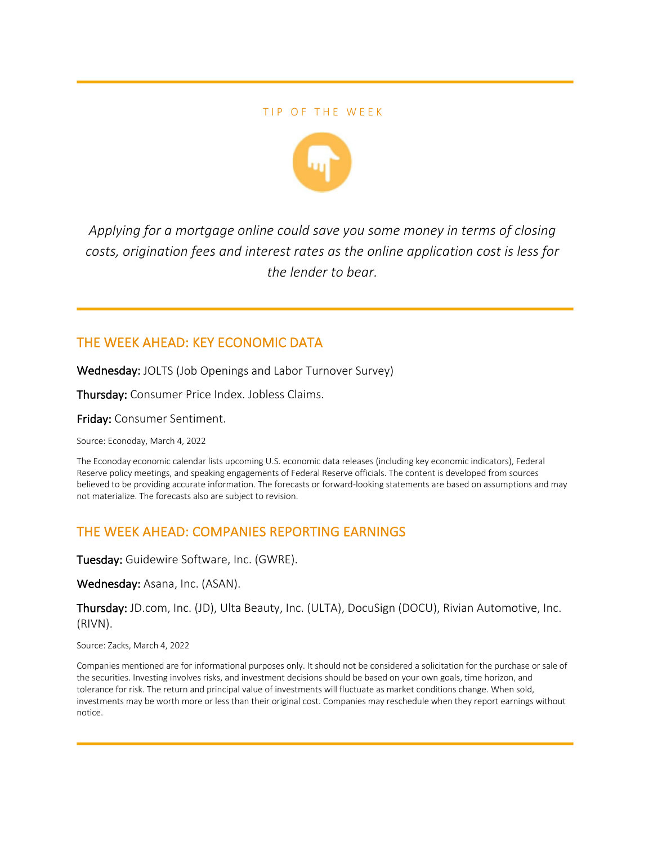#### TIP OF THE WEEK



*Applying for a mortgage online could save you some money in terms of closing costs, origination fees and interest rates as the online application cost is less for the lender to bear.*

### THE WEEK AHEAD: KEY ECONOMIC DATA

Wednesday: JOLTS (Job Openings and Labor Turnover Survey)

Thursday: Consumer Price Index. Jobless Claims.

Friday: Consumer Sentiment.

Source: Econoday, March 4, 2022

The Econoday economic calendar lists upcoming U.S. economic data releases (including key economic indicators), Federal Reserve policy meetings, and speaking engagements of Federal Reserve officials. The content is developed from sources believed to be providing accurate information. The forecasts or forward-looking statements are based on assumptions and may not materialize. The forecasts also are subject to revision.

### THE WEEK AHEAD: COMPANIES REPORTING EARNINGS

Tuesday: Guidewire Software, Inc. (GWRE).

Wednesday: Asana, Inc. (ASAN).

Thursday: JD.com, Inc. (JD), Ulta Beauty, Inc. (ULTA), DocuSign (DOCU), Rivian Automotive, Inc. (RIVN).

Source: Zacks, March 4, 2022

Companies mentioned are for informational purposes only. It should not be considered a solicitation for the purchase or sale of the securities. Investing involves risks, and investment decisions should be based on your own goals, time horizon, and tolerance for risk. The return and principal value of investments will fluctuate as market conditions change. When sold, investments may be worth more or less than their original cost. Companies may reschedule when they report earnings without notice.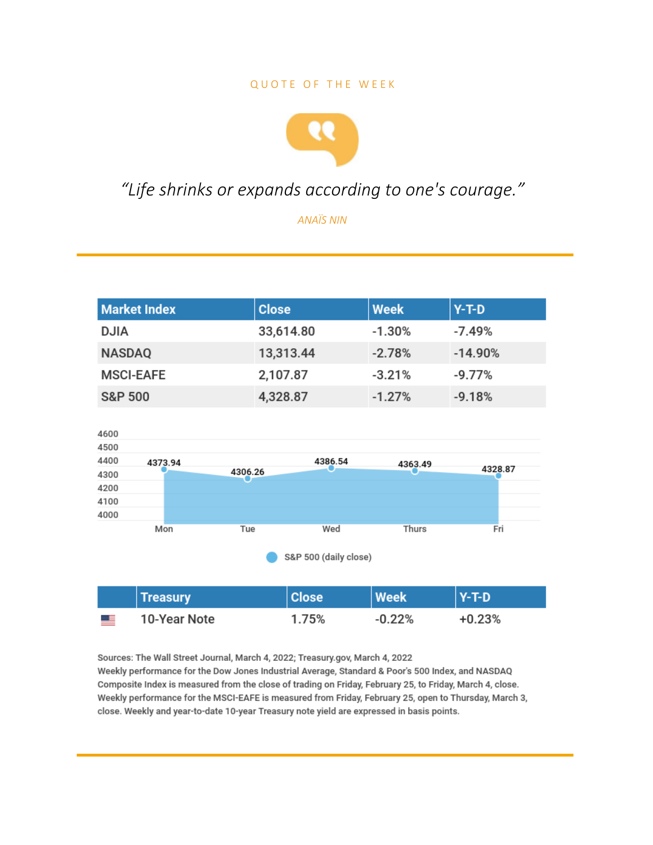#### **QUOTE OF THE WEEK**



## "Life shrinks or expands according to one's courage."

**ANAÏS NIN** 

| <b>Market Index</b>   |                 |         | <b>Close</b> | <b>Week</b> | $Y-T-D$   |
|-----------------------|-----------------|---------|--------------|-------------|-----------|
| <b>DJIA</b>           |                 |         | 33,614.80    | $-1.30%$    | $-7.49%$  |
| <b>NASDAQ</b>         |                 |         | 13,313.44    | $-2.78%$    | $-14.90%$ |
| <b>MSCI-EAFE</b>      |                 |         | 2,107.87     | $-3.21%$    | $-9.77%$  |
| <b>S&amp;P 500</b>    |                 |         | 4,328.87     | $-1.27%$    | $-9.18%$  |
|                       |                 |         |              |             |           |
| 4600                  |                 |         |              |             |           |
| 4500                  |                 |         |              |             |           |
| 4400                  | 4373.94         |         | 4386.54      | 4363.49     | 4328.87   |
| 4300                  |                 | 4306.26 |              |             |           |
| 4200                  |                 |         |              |             |           |
| 4100                  |                 |         |              |             |           |
| 4000                  | Mon             | Tue     | Wed          | Thurs       | Fri       |
|                       |                 |         |              |             |           |
| S&P 500 (daily close) |                 |         |              |             |           |
|                       |                 |         |              |             |           |
|                       | <b>Treasury</b> |         | <b>Close</b> | <b>Week</b> | $Y-T-D$   |
|                       | 10-Year Note    |         | 1.75%        | $-0.22%$    | $+0.23%$  |

Sources: The Wall Street Journal, March 4, 2022; Treasury.gov, March 4, 2022 Weekly performance for the Dow Jones Industrial Average, Standard & Poor's 500 Index, and NASDAQ Composite Index is measured from the close of trading on Friday, February 25, to Friday, March 4, close. Weekly performance for the MSCI-EAFE is measured from Friday, February 25, open to Thursday, March 3, close. Weekly and year-to-date 10-year Treasury note yield are expressed in basis points.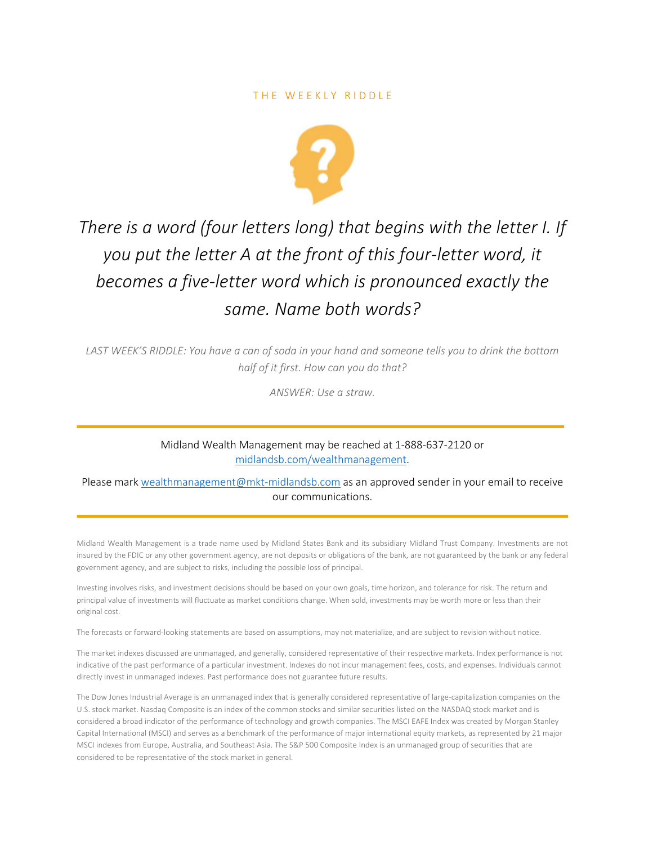

# *There is a word (four letters long) that begins with the letter I. If you put the letter A at the front of this four-letter word, it becomes a five-letter word which is pronounced exactly the same. Name both words?*

LAST WEEK'S RIDDLE: You have a can of soda in your hand and someone tells you to drink the bottom *half of it first. How can you do that?*

*ANSWER: Use a straw.*

Midland Wealth Management may be reached at 1-888-637-2120 or midlandsb.com/wealthmanagement.

Please mark wealthmanagement@mkt-midlandsb.com as an approved sender in your email to receive our communications.

Midland Wealth Management is a trade name used by Midland States Bank and its subsidiary Midland Trust Company. Investments are not insured by the FDIC or any other government agency, are not deposits or obligations of the bank, are not guaranteed by the bank or any federal government agency, and are subject to risks, including the possible loss of principal.

Investing involves risks, and investment decisions should be based on your own goals, time horizon, and tolerance for risk. The return and principal value of investments will fluctuate as market conditions change. When sold, investments may be worth more or less than their original cost.

The forecasts or forward-looking statements are based on assumptions, may not materialize, and are subject to revision without notice.

The market indexes discussed are unmanaged, and generally, considered representative of their respective markets. Index performance is not indicative of the past performance of a particular investment. Indexes do not incur management fees, costs, and expenses. Individuals cannot directly invest in unmanaged indexes. Past performance does not guarantee future results.

The Dow Jones Industrial Average is an unmanaged index that is generally considered representative of large-capitalization companies on the U.S. stock market. Nasdaq Composite is an index of the common stocks and similar securities listed on the NASDAQ stock market and is considered a broad indicator of the performance of technology and growth companies. The MSCI EAFE Index was created by Morgan Stanley Capital International (MSCI) and serves as a benchmark of the performance of major international equity markets, as represented by 21 major MSCI indexes from Europe, Australia, and Southeast Asia. The S&P 500 Composite Index is an unmanaged group of securities that are considered to be representative of the stock market in general.